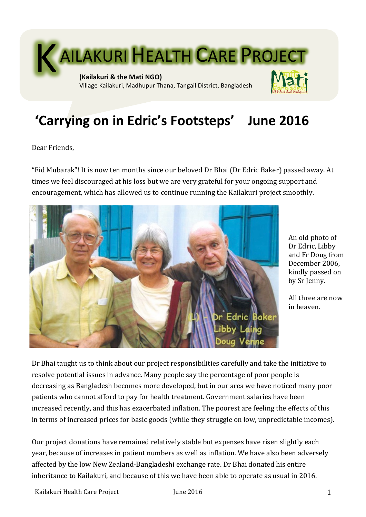

# 'Carrying on in Edric's Footsteps' June 2016

Dear Friends.

"Eid Mubarak"! It is now ten months since our beloved Dr Bhai (Dr Edric Baker) passed away. At times we feel discouraged at his loss but we are very grateful for your ongoing support and encouragement, which has allowed us to continue running the Kailakuri project smoothly.



An old photo of Dr Edric, Libby and Fr Doug from December 2006, kindly passed on by Sr Jenny.

All three are now in heaven.

Dr Bhai taught us to think about our project responsibilities carefully and take the initiative to resolve potential issues in advance. Many people say the percentage of poor people is decreasing as Bangladesh becomes more developed, but in our area we have noticed many poor patients who cannot afford to pay for health treatment. Government salaries have been increased recently, and this has exacerbated inflation. The poorest are feeling the effects of this in terms of increased prices for basic goods (while they struggle on low, unpredictable incomes).

Our project donations have remained relatively stable but expenses have risen slightly each year, because of increases in patient numbers as well as inflation. We have also been adversely affected by the low New Zealand-Bangladeshi exchange rate. Dr Bhai donated his entire inheritance to Kailakuri, and because of this we have been able to operate as usual in 2016.

Kailakuri Health Care Project **1** and the 2016 **1** and the 2016 **1** and the 2016 **1**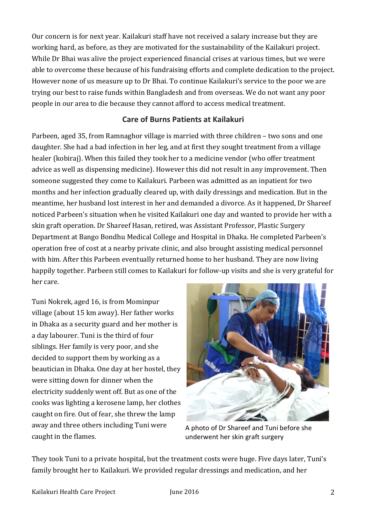Our concern is for next year. Kailakuri staff have not received a salary increase but they are working hard, as before, as they are motivated for the sustainability of the Kailakuri project. While Dr Bhai was alive the project experienced financial crises at various times, but we were able to overcome these because of his fundraising efforts and complete dedication to the project. However none of us measure up to Dr Bhai. To continue Kailakuri's service to the poor we are trying our best to raise funds within Bangladesh and from overseas. We do not want any poor people in our area to die because they cannot afford to access medical treatment.

# **Care of Burns Patients at Kailakuri**

Parbeen, aged 35, from Ramnaghor village is married with three children – two sons and one daughter. She had a bad infection in her leg, and at first they sought treatment from a village healer (kobiraj). When this failed they took her to a medicine vendor (who offer treatment advice as well as dispensing medicine). However this did not result in any improvement. Then someone suggested they come to Kailakuri. Parbeen was admitted as an inpatient for two months and her infection gradually cleared up, with daily dressings and medication. But in the meantime, her husband lost interest in her and demanded a divorce. As it happened, Dr Shareef noticed Parbeen's situation when he visited Kailakuri one day and wanted to provide her with a skin graft operation. Dr Shareef Hasan, retired, was Assistant Professor, Plastic Surgery Department at Bango Bondhu Medical College and Hospital in Dhaka. He completed Parbeen's operation free of cost at a nearby private clinic, and also brought assisting medical personnel with him. After this Parbeen eventually returned home to her husband. They are now living happily together. Parbeen still comes to Kailakuri for follow-up visits and she is very grateful for her care. 

Tuni Nokrek, aged 16, is from Mominpur village (about 15 km away). Her father works in Dhaka as a security guard and her mother is a day labourer. Tuni is the third of four siblings. Her family is very poor, and she decided to support them by working as a beautician in Dhaka. One day at her hostel, they were sitting down for dinner when the electricity suddenly went off. But as one of the cooks was lighting a kerosene lamp, her clothes caught on fire. Out of fear, she threw the lamp away and three others including Tuni were caught in the flames.



A photo of Dr Shareef and Tuni before she underwent her skin graft surgery

They took Tuni to a private hospital, but the treatment costs were huge. Five days later, Tuni's family brought her to Kailakuri. We provided regular dressings and medication, and her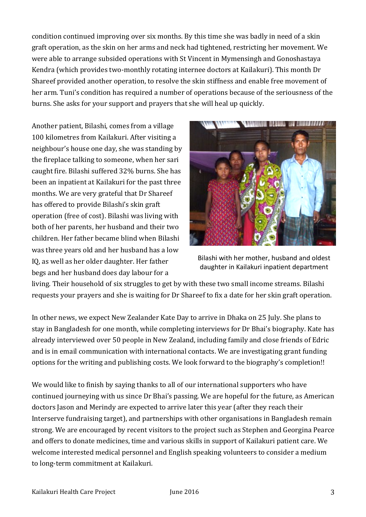condition continued improving over six months. By this time she was badly in need of a skin graft operation, as the skin on her arms and neck had tightened, restricting her movement. We were able to arrange subsided operations with St Vincent in Mymensingh and Gonoshastaya Kendra (which provides two-monthly rotating internee doctors at Kailakuri). This month Dr Shareef provided another operation, to resolve the skin stiffness and enable free movement of her arm. Tuni's condition has required a number of operations because of the seriousness of the burns. She asks for your support and prayers that she will heal up quickly.

Another patient, Bilashi, comes from a village 100 kilometres from Kailakuri. After visiting a neighbour's house one day, she was standing by the fireplace talking to someone, when her sari caught fire. Bilashi suffered 32% burns. She has been an inpatient at Kailakuri for the past three months. We are very grateful that Dr Shareef has offered to provide Bilashi's skin graft operation (free of cost). Bilashi was living with both of her parents, her husband and their two children. Her father became blind when Bilashi was three years old and her husband has a low IQ, as well as her older daughter. Her father begs and her husband does day labour for a



Bilashi with her mother, husband and oldest daughter in Kailakuri inpatient department

living. Their household of six struggles to get by with these two small income streams. Bilashi requests your prayers and she is waiting for Dr Shareef to fix a date for her skin graft operation.

In other news, we expect New Zealander Kate Day to arrive in Dhaka on 25 July. She plans to stay in Bangladesh for one month, while completing interviews for Dr Bhai's biography. Kate has already interviewed over 50 people in New Zealand, including family and close friends of Edric and is in email communication with international contacts. We are investigating grant funding options for the writing and publishing costs. We look forward to the biography's completion!!

We would like to finish by saying thanks to all of our international supporters who have continued journeying with us since Dr Bhai's passing. We are hopeful for the future, as American doctors Jason and Merindy are expected to arrive later this year (after they reach their Interserve fundraising target), and partnerships with other organisations in Bangladesh remain strong. We are encouraged by recent visitors to the project such as Stephen and Georgina Pearce and offers to donate medicines, time and various skills in support of Kailakuri patient care. We welcome interested medical personnel and English speaking volunteers to consider a medium to long-term commitment at Kailakuri.